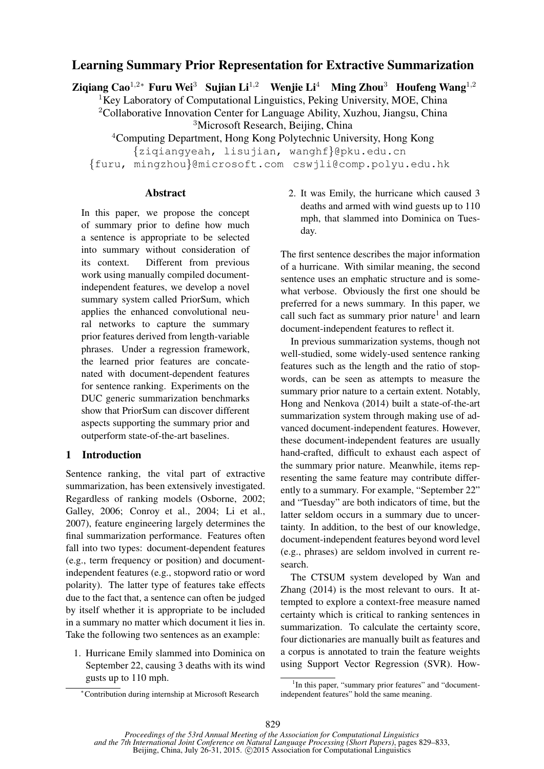# Learning Summary Prior Representation for Extractive Summarization

Zigiang Cao<sup>1,2</sup>\* Furu Wei<sup>3</sup> Sujian Li<sup>1,2</sup> Wenjie Li<sup>4</sup> Ming Zhou<sup>3</sup> Houfeng Wang<sup>1,2</sup>

<sup>1</sup>Key Laboratory of Computational Linguistics, Peking University, MOE, China

<sup>2</sup>Collaborative Innovation Center for Language Ability, Xuzhou, Jiangsu, China

<sup>3</sup>Microsoft Research, Beijing, China

<sup>4</sup>Computing Department, Hong Kong Polytechnic University, Hong Kong

{ziqiangyeah, lisujian, wanghf}@pku.edu.cn {furu, mingzhou}@microsoft.com cswjli@comp.polyu.edu.hk

### **Abstract**

In this paper, we propose the concept of summary prior to define how much a sentence is appropriate to be selected into summary without consideration of its context. Different from previous work using manually compiled documentindependent features, we develop a novel summary system called PriorSum, which applies the enhanced convolutional neural networks to capture the summary prior features derived from length-variable phrases. Under a regression framework, the learned prior features are concatenated with document-dependent features for sentence ranking. Experiments on the DUC generic summarization benchmarks show that PriorSum can discover different aspects supporting the summary prior and outperform state-of-the-art baselines.

# 1 Introduction

Sentence ranking, the vital part of extractive summarization, has been extensively investigated. Regardless of ranking models (Osborne, 2002; Galley, 2006; Conroy et al., 2004; Li et al., 2007), feature engineering largely determines the final summarization performance. Features often fall into two types: document-dependent features (e.g., term frequency or position) and documentindependent features (e.g., stopword ratio or word polarity). The latter type of features take effects due to the fact that, a sentence can often be judged by itself whether it is appropriate to be included in a summary no matter which document it lies in. Take the following two sentences as an example:

1. Hurricane Emily slammed into Dominica on September 22, causing 3 deaths with its wind gusts up to 110 mph.

2. It was Emily, the hurricane which caused 3 deaths and armed with wind guests up to 110 mph, that slammed into Dominica on Tuesday.

The first sentence describes the major information of a hurricane. With similar meaning, the second sentence uses an emphatic structure and is somewhat verbose. Obviously the first one should be preferred for a news summary. In this paper, we call such fact as summary prior nature<sup>1</sup> and learn document-independent features to reflect it.

In previous summarization systems, though not well-studied, some widely-used sentence ranking features such as the length and the ratio of stopwords, can be seen as attempts to measure the summary prior nature to a certain extent. Notably, Hong and Nenkova (2014) built a state-of-the-art summarization system through making use of advanced document-independent features. However, these document-independent features are usually hand-crafted, difficult to exhaust each aspect of the summary prior nature. Meanwhile, items representing the same feature may contribute differently to a summary. For example, "September 22" and "Tuesday" are both indicators of time, but the latter seldom occurs in a summary due to uncertainty. In addition, to the best of our knowledge, document-independent features beyond word level (e.g., phrases) are seldom involved in current research.

The CTSUM system developed by Wan and Zhang (2014) is the most relevant to ours. It attempted to explore a context-free measure named certainty which is critical to ranking sentences in summarization. To calculate the certainty score, four dictionaries are manually built as features and a corpus is annotated to train the feature weights using Support Vector Regression (SVR). How-

<sup>∗</sup>Contribution during internship at Microsoft Research

<sup>&</sup>lt;sup>1</sup>In this paper, "summary prior features" and "documentindependent features" hold the same meaning.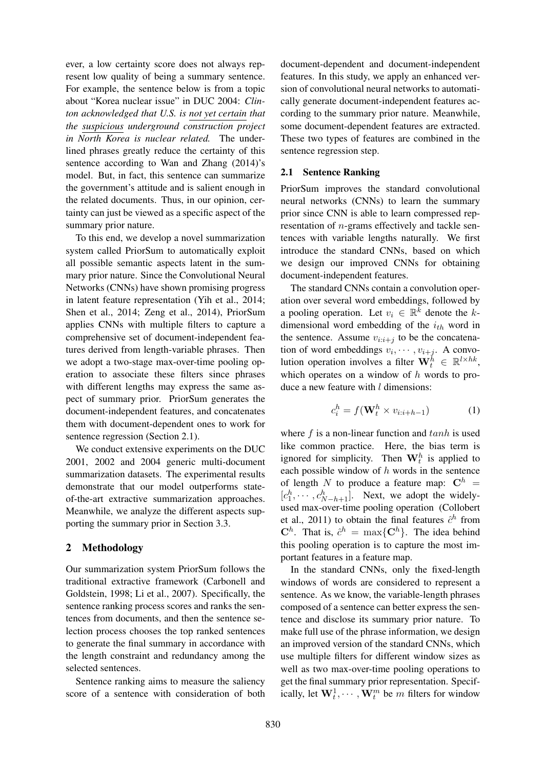ever, a low certainty score does not always represent low quality of being a summary sentence. For example, the sentence below is from a topic about "Korea nuclear issue" in DUC 2004: *Clinton acknowledged that U.S. is not yet certain that the suspicious underground construction project in North Korea is nuclear related.* The underlined phrases greatly reduce the certainty of this sentence according to Wan and Zhang (2014)'s model. But, in fact, this sentence can summarize the government's attitude and is salient enough in the related documents. Thus, in our opinion, certainty can just be viewed as a specific aspect of the summary prior nature.

To this end, we develop a novel summarization system called PriorSum to automatically exploit all possible semantic aspects latent in the summary prior nature. Since the Convolutional Neural Networks (CNNs) have shown promising progress in latent feature representation (Yih et al., 2014; Shen et al., 2014; Zeng et al., 2014), PriorSum applies CNNs with multiple filters to capture a comprehensive set of document-independent features derived from length-variable phrases. Then we adopt a two-stage max-over-time pooling operation to associate these filters since phrases with different lengths may express the same aspect of summary prior. PriorSum generates the document-independent features, and concatenates them with document-dependent ones to work for sentence regression (Section 2.1).

We conduct extensive experiments on the DUC 2001, 2002 and 2004 generic multi-document summarization datasets. The experimental results demonstrate that our model outperforms stateof-the-art extractive summarization approaches. Meanwhile, we analyze the different aspects supporting the summary prior in Section 3.3.

# 2 Methodology

Our summarization system PriorSum follows the traditional extractive framework (Carbonell and Goldstein, 1998; Li et al., 2007). Specifically, the sentence ranking process scores and ranks the sentences from documents, and then the sentence selection process chooses the top ranked sentences to generate the final summary in accordance with the length constraint and redundancy among the selected sentences.

Sentence ranking aims to measure the saliency score of a sentence with consideration of both

document-dependent and document-independent features. In this study, we apply an enhanced version of convolutional neural networks to automatically generate document-independent features according to the summary prior nature. Meanwhile, some document-dependent features are extracted. These two types of features are combined in the sentence regression step.

#### 2.1 Sentence Ranking

PriorSum improves the standard convolutional neural networks (CNNs) to learn the summary prior since CNN is able to learn compressed representation of n-grams effectively and tackle sentences with variable lengths naturally. We first introduce the standard CNNs, based on which we design our improved CNNs for obtaining document-independent features.

The standard CNNs contain a convolution operation over several word embeddings, followed by a pooling operation. Let  $v_i \in \mathbb{R}^k$  denote the kdimensional word embedding of the  $i_{th}$  word in the sentence. Assume  $v_{i:i+j}$  to be the concatenation of word embeddings  $v_i, \dots, v_{i+j}$ . A convolution operation involves a filter  $\mathbf{W}_t^h \in \mathbb{R}^{l \times hk}$ , which operates on a window of  $h$  words to produce a new feature with  $l$  dimensions:

$$
c_i^h = f(\mathbf{W}_t^h \times v_{i:i+h-1}) \tag{1}
$$

where  $f$  is a non-linear function and  $tanh$  is used like common practice. Here, the bias term is ignored for simplicity. Then  $\mathbf{W}_t^h$  is applied to each possible window of  $h$  words in the sentence of length N to produce a feature map:  $\mathbf{C}^{h}$  =  $[c_1^h, \cdots, c_{N-h+1}^h]$ . Next, we adopt the widelyused max-over-time pooling operation (Collobert et al., 2011) to obtain the final features  $\hat{c}^h$  from  $\mathbf{C}^h$ . That is,  $\hat{c}^h = \max\{\mathbf{C}^h\}$ . The idea behind this pooling operation is to capture the most important features in a feature map.

In the standard CNNs, only the fixed-length windows of words are considered to represent a sentence. As we know, the variable-length phrases composed of a sentence can better express the sentence and disclose its summary prior nature. To make full use of the phrase information, we design an improved version of the standard CNNs, which use multiple filters for different window sizes as well as two max-over-time pooling operations to get the final summary prior representation. Specifically, let  $\mathbf{W}_t^1, \cdots, \mathbf{W}_t^m$  be m filters for window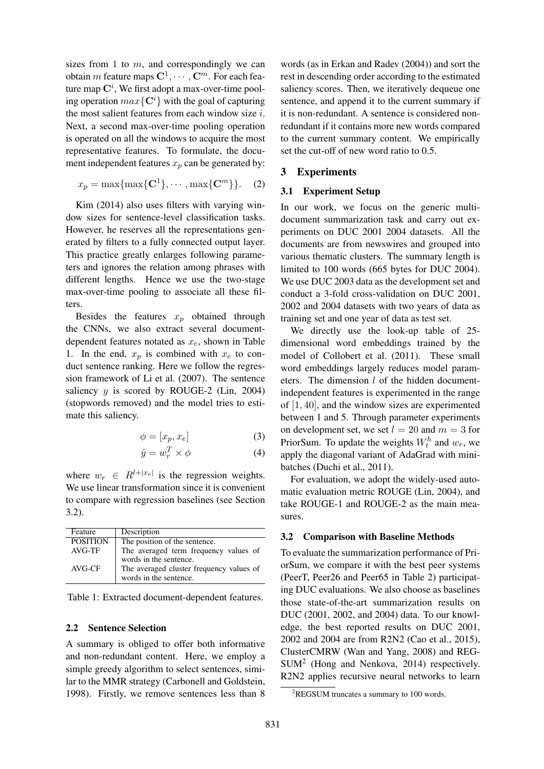sizes from 1 to  $m$ , and correspondingly we can obtain  $m$  feature maps  ${\bf C}^1,\cdots,{\bf C}^m.$  For each feature map  $\mathbf{C}^i$ , We first adopt a max-over-time pooling operation  $max{C<sup>i</sup>}$  with the goal of capturing the most salient features from each window size  $i$ . Next, a second max-over-time pooling operation is operated on all the windows to acquire the most representative features. To formulate, the document independent features  $x_p$  can be generated by:

$$
x_p = \max\{\max\{\mathbf{C}^1\}, \cdots, \max\{\mathbf{C}^m\}\}.
$$
 (2)

Kim (2014) also uses filters with varying window sizes for sentence-level classification tasks. However, he reserves all the representations generated by filters to a fully connected output layer. This practice greatly enlarges following parameters and ignores the relation among phrases with different lengths. Hence we use the two-stage max-over-time pooling to associate all these filters.

Besides the features  $x_p$  obtained through the CNNs, we also extract several documentdependent features notated as  $x_e$ , shown in Table 1. In the end,  $x_p$  is combined with  $x_e$  to conduct sentence ranking. Here we follow the regression framework of Li et al. (2007). The sentence saliency  $y$  is scored by ROUGE-2 (Lin, 2004) (stopwords removed) and the model tries to estimate this saliency.

$$
\phi = [x_p, x_e] \tag{3}
$$

$$
\hat{y} = w_r^T \times \phi \tag{4}
$$

where  $w_r \in R^{l+|x_e|}$  is the regression weights. We use linear transformation since it is convenient to compare with regression baselines (see Section 3.2).

| Feature         | Description                                                        |
|-----------------|--------------------------------------------------------------------|
| <b>POSITION</b> | The position of the sentence.                                      |
| $AVG-TF$        | The averaged term frequency values of<br>words in the sentence.    |
| AVG-CF          | The averaged cluster frequency values of<br>words in the sentence. |

Table 1: Extracted document-dependent features.

#### 2.2 Sentence Selection

A summary is obliged to offer both informative and non-redundant content. Here, we employ a simple greedy algorithm to select sentences, similar to the MMR strategy (Carbonell and Goldstein, 1998). Firstly, we remove sentences less than 8

words (as in Erkan and Radev (2004)) and sort the rest in descending order according to the estimated saliency scores. Then, we iteratively dequeue one sentence, and append it to the current summary if it is non-redundant. A sentence is considered nonredundant if it contains more new words compared to the current summary content. We empirically set the cut-off of new word ratio to 0.5.

### 3 Experiments

#### 3.1 Experiment Setup

In our work, we focus on the generic multidocument summarization task and carry out experiments on DUC 2001 2004 datasets. All the documents are from newswires and grouped into various thematic clusters. The summary length is limited to 100 words (665 bytes for DUC 2004). We use DUC 2003 data as the development set and conduct a 3-fold cross-validation on DUC 2001, 2002 and 2004 datasets with two years of data as training set and one year of data as test set.

We directly use the look-up table of 25 dimensional word embeddings trained by the model of Collobert et al. (2011). These small word embeddings largely reduces model parameters. The dimension  $l$  of the hidden documentindependent features is experimented in the range of [1, 40], and the window sizes are experimented between 1 and 5. Through parameter experiments on development set, we set  $l = 20$  and  $m = 3$  for PriorSum. To update the weights  $W_t^h$  and  $w_r$ , we apply the diagonal variant of AdaGrad with minibatches (Duchi et al., 2011).

For evaluation, we adopt the widely-used automatic evaluation metric ROUGE (Lin, 2004), and take ROUGE-1 and ROUGE-2 as the main measures.

#### 3.2 Comparison with Baseline Methods

To evaluate the summarization performance of PriorSum, we compare it with the best peer systems (PeerT, Peer26 and Peer65 in Table 2) participating DUC evaluations. We also choose as baselines those state-of-the-art summarization results on DUC (2001, 2002, and 2004) data. To our knowledge, the best reported results on DUC 2001, 2002 and 2004 are from R2N2 (Cao et al., 2015), ClusterCMRW (Wan and Yang, 2008) and REG-SUM<sup>2</sup> (Hong and Nenkova, 2014) respectively. R2N2 applies recursive neural networks to learn

 ${}^{2}$ REGSUM truncates a summary to 100 words.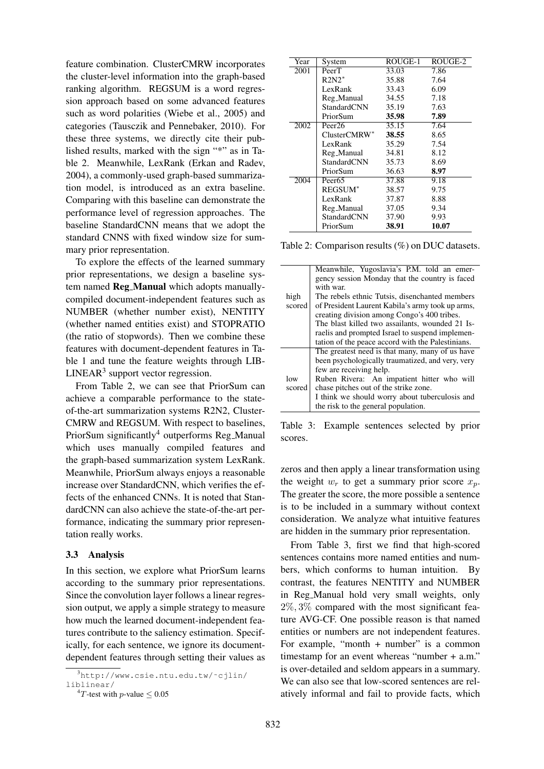feature combination. ClusterCMRW incorporates the cluster-level information into the graph-based ranking algorithm. REGSUM is a word regression approach based on some advanced features such as word polarities (Wiebe et al., 2005) and categories (Tausczik and Pennebaker, 2010). For these three systems, we directly cite their published results, marked with the sign "\*" as in Table 2. Meanwhile, LexRank (Erkan and Radev, 2004), a commonly-used graph-based summarization model, is introduced as an extra baseline. Comparing with this baseline can demonstrate the performance level of regression approaches. The baseline StandardCNN means that we adopt the standard CNNS with fixed window size for summary prior representation.

To explore the effects of the learned summary prior representations, we design a baseline system named Reg\_Manual which adopts manuallycompiled document-independent features such as NUMBER (whether number exist), NENTITY (whether named entities exist) and STOPRATIO (the ratio of stopwords). Then we combine these features with document-dependent features in Table 1 and tune the feature weights through LIB-LINEAR<sup>3</sup> support vector regression.

From Table 2, we can see that PriorSum can achieve a comparable performance to the stateof-the-art summarization systems R2N2, Cluster-CMRW and REGSUM. With respect to baselines, PriorSum significantly<sup>4</sup> outperforms Reg\_Manual which uses manually compiled features and the graph-based summarization system LexRank. Meanwhile, PriorSum always enjoys a reasonable increase over StandardCNN, which verifies the effects of the enhanced CNNs. It is noted that StandardCNN can also achieve the state-of-the-art performance, indicating the summary prior representation really works.

#### 3.3 Analysis

In this section, we explore what PriorSum learns according to the summary prior representations. Since the convolution layer follows a linear regression output, we apply a simple strategy to measure how much the learned document-independent features contribute to the saliency estimation. Specifically, for each sentence, we ignore its documentdependent features through setting their values as

| Year | System              | ROUGE-1 | ROUGE-2 |
|------|---------------------|---------|---------|
| 2001 | PeerT               | 33.03   | 7.86    |
|      | $R2N2*$             | 35.88   | 7.64    |
|      | LexRank             | 33.43   | 6.09    |
|      | Reg_Manual          | 34.55   | 7.18    |
|      | StandardCNN         | 35.19   | 7.63    |
|      | PriorSum            | 35.98   | 7.89    |
| 2002 | Peer <sub>26</sub>  | 35.15   | 7.64    |
|      | $ClusterCMRW^*$     | 38.55   | 8.65    |
|      | LexRank             | 35.29   | 7.54    |
|      | Reg_Manual          | 34.81   | 8.12    |
|      | StandardCNN         | 35.73   | 8.69    |
|      | PriorSum            | 36.63   | 8.97    |
| 2004 | Peer <sub>65</sub>  | 37.88   | 9.18    |
|      | REGSUM <sup>*</sup> | 38.57   | 9.75    |
|      | LexRank             | 37.87   | 8.88    |
|      | Reg_Manual          | 37.05   | 9.34    |
|      | StandardCNN         | 37.90   | 9.93    |
|      | PriorSum            | 38.91   | 10.07   |

Table 2: Comparison results (%) on DUC datasets.

|        | Meanwhile, Yugoslavia's P.M. told an emer-        |  |
|--------|---------------------------------------------------|--|
|        | gency session Monday that the country is faced    |  |
|        | with war.                                         |  |
| high   | The rebels ethnic Tutsis, disenchanted members    |  |
| scored | of President Laurent Kabila's army took up arms,  |  |
|        | creating division among Congo's 400 tribes.       |  |
|        | The blast killed two assailants, wounded 21 Is-   |  |
|        | raelis and prompted Israel to suspend implemen-   |  |
|        | tation of the peace accord with the Palestinians. |  |
|        | The greatest need is that many, many of us have   |  |
|        | been psychologically traumatized, and very, very  |  |
|        | few are receiving help.                           |  |
| low    | Ruben Rivera: An impatient hitter who will        |  |
| scored | chase pitches out of the strike zone.             |  |
|        | I think we should worry about tuberculosis and    |  |
|        | the risk to the general population.               |  |

Table 3: Example sentences selected by prior scores.

zeros and then apply a linear transformation using the weight  $w_r$  to get a summary prior score  $x_n$ . The greater the score, the more possible a sentence is to be included in a summary without context consideration. We analyze what intuitive features are hidden in the summary prior representation.

From Table 3, first we find that high-scored sentences contains more named entities and numbers, which conforms to human intuition. By contrast, the features NENTITY and NUMBER in Reg Manual hold very small weights, only  $2\%, 3\%$  compared with the most significant feature AVG-CF. One possible reason is that named entities or numbers are not independent features. For example, "month  $+$  number" is a common timestamp for an event whereas "number + a.m." is over-detailed and seldom appears in a summary. We can also see that low-scored sentences are relatively informal and fail to provide facts, which

<sup>3</sup>http://www.csie.ntu.edu.tw/˜cjlin/ liblinear/

<sup>&</sup>lt;sup>4</sup>T-test with *p*-value  $\leq 0.05$